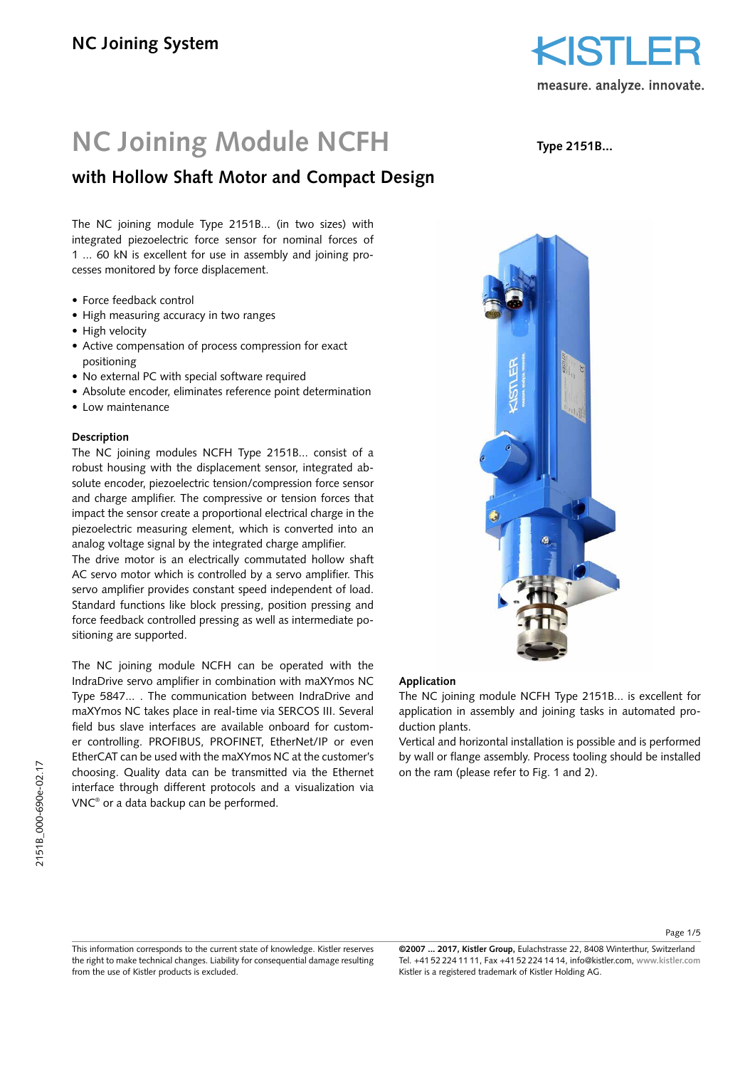

# **NC Joining Module NCFH**

# **with Hollow Shaft Motor and Compact Design**

The NC joining module Type 2151B... (in two sizes) with integrated piezoelectric force sensor for nominal forces of 1 ... 60 kN is excellent for use in assembly and joining processes monitored by force displacement.

- Force feedback control
- High measuring accuracy in two ranges
- High velocity
- Active compensation of process compression for exact positioning
- No external PC with special software required
- Absolute encoder, eliminates reference point determination
- Low maintenance

#### **Description**

The NC joining modules NCFH Type 2151B... consist of a robust housing with the displacement sensor, integrated absolute encoder, piezoelectric tension/compression force sensor and charge amplifier. The compressive or tension forces that impact the sensor create a proportional electrical charge in the piezoelectric measuring element, which is converted into an analog voltage signal by the integrated charge amplifier.

The drive motor is an electrically commutated hollow shaft AC servo motor which is controlled by a servo amplifier. This servo amplifier provides constant speed independent of load. Standard functions like block pressing, position pressing and force feedback controlled pressing as well as intermediate positioning are supported.

The NC joining module NCFH can be operated with the IndraDrive servo amplifier in combination with maXYmos NC Type 5847... . The communication between IndraDrive and maXYmos NC takes place in real-time via SERCOS III. Several field bus slave interfaces are available onboard for customer controlling. PROFIBUS, PROFINET, EtherNet/IP or even EtherCAT can be used with the maXYmos NC at the customer's choosing. Quality data can be transmitted via the Ethernet interface through different protocols and a visualization via VNC® or a data backup can be performed.

**Type 2151B...**



#### **Application**

The NC joining module NCFH Type 2151B... is excellent for application in assembly and joining tasks in automated production plants.

Vertical and horizontal installation is possible and is performed by wall or flange assembly. Process tooling should be installed on the ram (please refer to Fig. 1 and 2).

Page 1/5

**©2007 ... 2017, Kistler Group,** Eulachstrasse 22, 8408 Winterthur, Switzerland Tel. +41 52 224 11 11, Fax +41 52 224 14 14, info@kistler.com, **www.kistler.com** Kistler is a registered trademark of Kistler Holding AG.

This information corresponds to the current state of knowledge. Kistler reserves the right to make technical changes. Liability for consequential damage resulting from the use of Kistler products is excluded.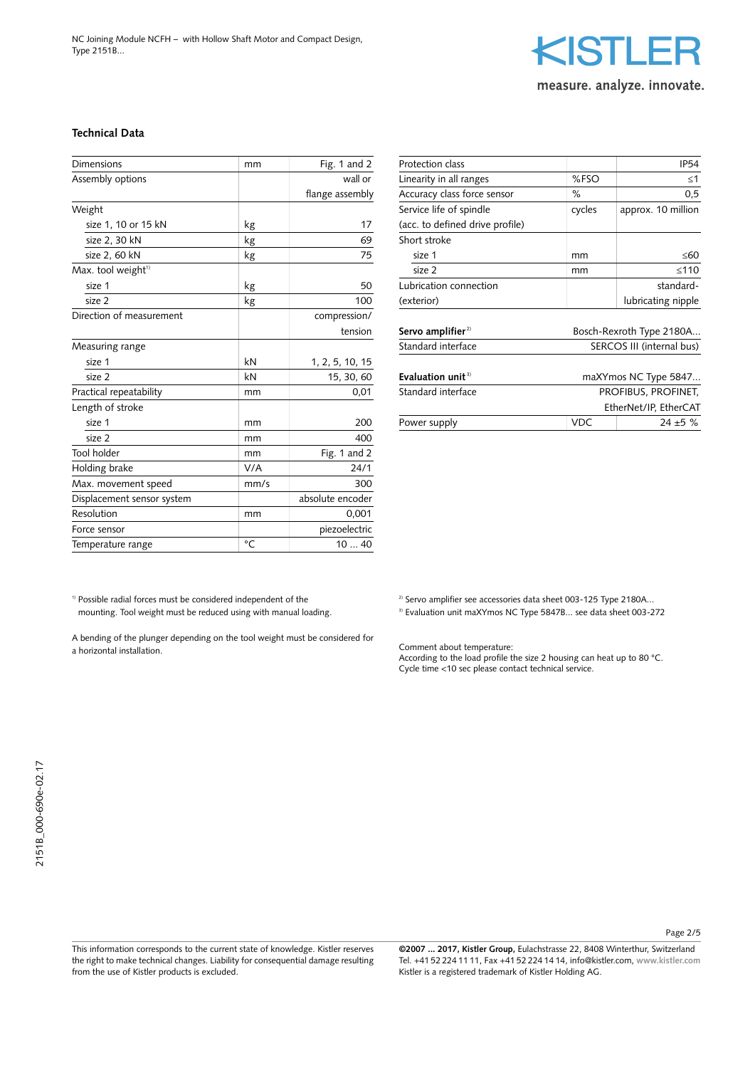NC Joining Module NCFH – with Hollow Shaft Motor and Compact Design, Type 2151B...



**Technical Data**

| <b>Dimensions</b>              | mm          | Fig. 1 and $2$   |
|--------------------------------|-------------|------------------|
| Assembly options               |             | wall or          |
|                                |             | flange assembly  |
| Weight                         |             |                  |
| size 1, 10 or 15 kN            | kg          | 17               |
| size 2, 30 kN                  | kg          | 69               |
| size 2, 60 kN                  | kg          | 75               |
| Max. tool weight <sup>1)</sup> |             |                  |
| size 1                         | kg          | 50               |
| size 2                         | kg          | 100              |
| Direction of measurement       |             | compression/     |
|                                |             | tension          |
| Measuring range                |             |                  |
| size 1                         | kN          | 1, 2, 5, 10, 15  |
| size 2                         | kN          | 15, 30, 60       |
| Practical repeatability        | mm          | 0,01             |
| Length of stroke               |             |                  |
| size 1                         | mm          | 200              |
| size 2                         | mm          | 400              |
| <b>Tool holder</b>             | mm          | Fig. 1 and $2$   |
| Holding brake                  | V/A         | 24/1             |
| Max. movement speed            | mm/s        | 300              |
| Displacement sensor system     |             | absolute encoder |
| Resolution                     | mm          | 0,001            |
| Force sensor                   |             | piezoelectric    |
| Temperature range              | $^{\circ}C$ | 1040             |

| Protection class                |                           | IP <sub>54</sub>         |  |
|---------------------------------|---------------------------|--------------------------|--|
| Linearity in all ranges         | %FSO                      | $<$ 1                    |  |
| Accuracy class force sensor     | ℅                         | 0,5                      |  |
| Service life of spindle         | cycles                    | approx. 10 million       |  |
| (acc. to defined drive profile) |                           |                          |  |
| Short stroke                    |                           |                          |  |
| size 1                          | mm                        | ≤60                      |  |
| size 2                          | mm                        | $\leq 110$               |  |
| Lubrication connection          |                           | standard-                |  |
| (exterior)                      |                           | lubricating nipple       |  |
| Servo amplifier $2$             |                           | Bosch-Rexroth Type 2180A |  |
| Standard interface              | SERCOS III (internal bus) |                          |  |
|                                 |                           |                          |  |
| Evaluation unit $3$             |                           | maXYmos NC Type 5847     |  |
| Standard interface              | PROFIBUS, PROFINET,       |                          |  |
|                                 |                           | EtherNet/IP, EtherCAT    |  |
| Power supply                    | VDC                       | $24 + 5$ %               |  |

 $^{\rm 1)}$  Possible radial forces must be considered independent of the mounting. Tool weight must be reduced using with manual loading.

A bending of the plunger depending on the tool weight must be considered for a horizontal installation.

This information corresponds to the current state of knowledge. Kistler reserves the right to make technical changes. Liability for consequential damage resulting from the use of Kistler products is excluded.

**©2007 ... 2017, Kistler Group,** Eulachstrasse 22, 8408 Winterthur, Switzerland Tel. +41 52 224 11 11, Fax +41 52 224 14 14, info@kistler.com, **www.kistler.com** Kistler is a registered trademark of Kistler Holding AG.

<sup>2)</sup> Servo amplifier see accessories data sheet 003-125 Type 2180A...

<sup>3)</sup> Evaluation unit maXYmos NC Type 5847B... see data sheet 003-272

Comment about temperature:

According to the load profile the size 2 housing can heat up to 80 °C. Cycle time <10 sec please contact technical service.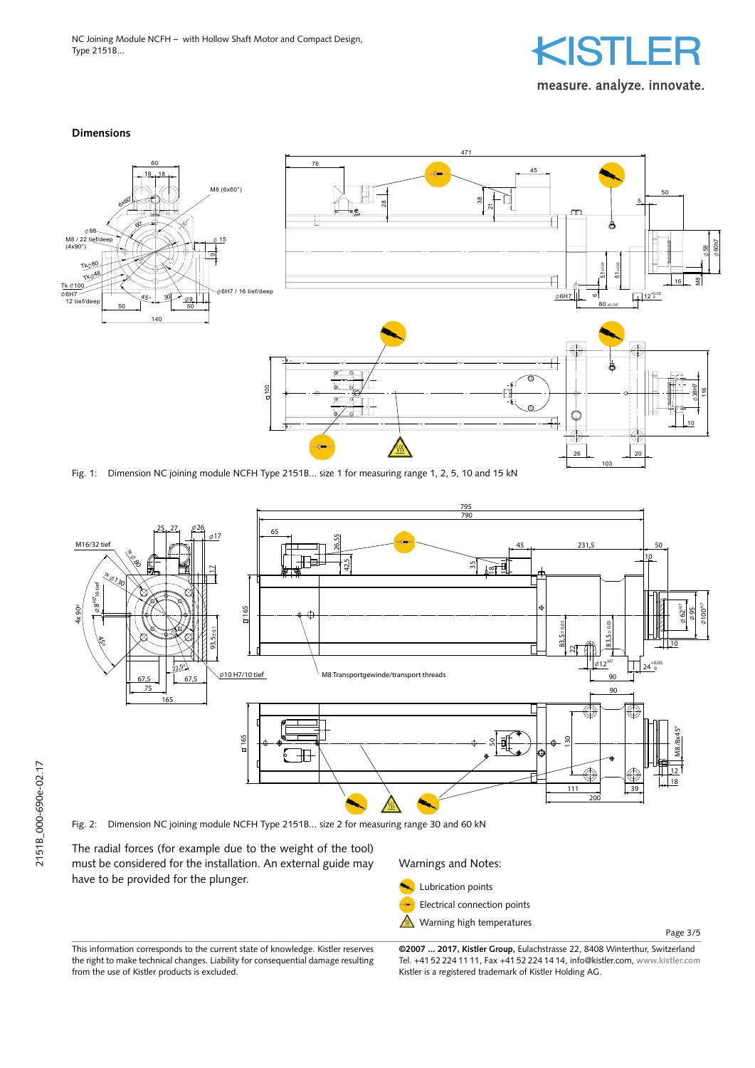NC Joining Module NCFH – with Hollow Shaft Motor and Compact Design, Type 2151B...



#### **Dimensions**



Fig. 1: Dimension NC joining module NCFH Type 2151B... size 1 for measuring range 1, 2, 5, 10 and 15 kN



Fig. 2: Dimension NC joining module NCFH Type 2151B... size 2 for measuring range 30 and 60 kN

The radial forces (for example due to the weight of the tool) must be considered for the installation. An external guide may have to be provided for the plunger.

Warnings and Notes: Lubrication points

Electrical connection points -**Warning high temperatures** 

Page 3/5

This information corresponds to the current state of knowledge. Kistler reserves the right to make technical changes. Liability for consequential damage resulting from the use of Kistler products is excluded.

**©2007 ... 2017, Kistler Group,** Eulachstrasse 22, 8408 Winterthur, Switzerland Tel. +41 52 224 11 11, Fax +41 52 224 14 14, info@kistler.com, **www.kistler.com** Kistler is a registered trademark of Kistler Holding AG.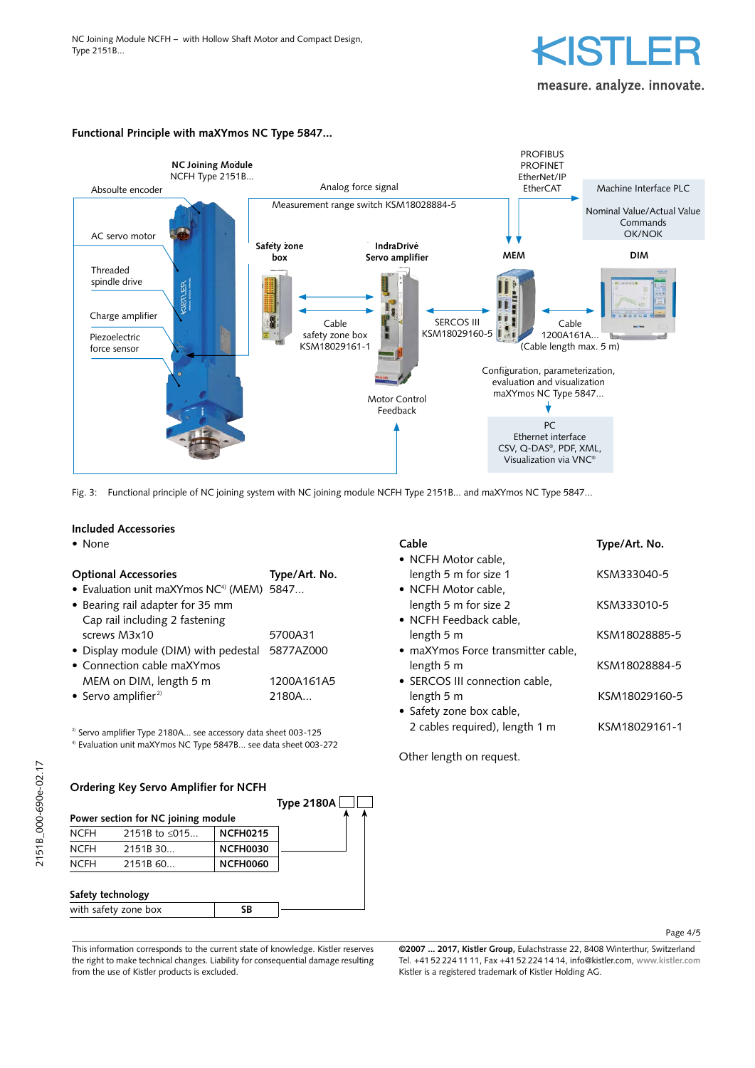

measure, analyze, innovate.

#### **Functional Principle with maXYmos NC Type 5847...**



Fig. 3: Functional principle of NC joining system with NC joining module NCFH Type 2151B... and maXYmos NC Type 5847...

#### **Included Accessories**

## **Optional Accessories Type/Art. No.**

- Evaluation unit maXYmos NC<sup>4)</sup> (MEM) 5847...
- Bearing rail adapter for 35 mm Cap rail including 2 fastening screws M3x10 5700A31 • Display module (DIM) with pedestal 5877AZ000
- Connection cable maXYmos
- MEM on DIM, length 5 m 1200A161A5 • Servo amplifier $2$ <sup>2</sup> 2180A...

<sup>2)</sup> Servo amplifier Type 2180A... see accessory data sheet 003-125

4) Evaluation unit maXYmos NC Type 5847B... see data sheet 003-272

| Ordering Key Servo Amplifier for NCFH |  |  |  |  |  |  |
|---------------------------------------|--|--|--|--|--|--|
|---------------------------------------|--|--|--|--|--|--|



| Cable                              | Type/Art. No. |
|------------------------------------|---------------|
| • NCFH Motor cable,                |               |
| length 5 m for size 1              | KSM333040-5   |
| • NCFH Motor cable,                |               |
| length 5 m for size 2              | KSM333010-5   |
| • NCFH Feedback cable,             |               |
| length 5 m                         | KSM18028885-5 |
| • maXYmos Force transmitter cable, |               |
| length 5 m                         | KSM18028884-5 |
| • SERCOS III connection cable,     |               |
| length 5 m                         | KSM18029160-5 |
| • Safety zone box cable,           |               |
| 2 cables required), length 1 m     | KSM18029161-1 |

Other length on request.

#### Page 4/5

This information corresponds to the current state of knowledge. Kistler reserves the right to make technical changes. Liability for consequential damage resulting from the use of Kistler products is excluded.

**©2007 ... 2017, Kistler Group,** Eulachstrasse 22, 8408 Winterthur, Switzerland Tel. +41 52 224 11 11, Fax +41 52 224 14 14, info@kistler.com, **www.kistler.com** Kistler is a registered trademark of Kistler Holding AG.